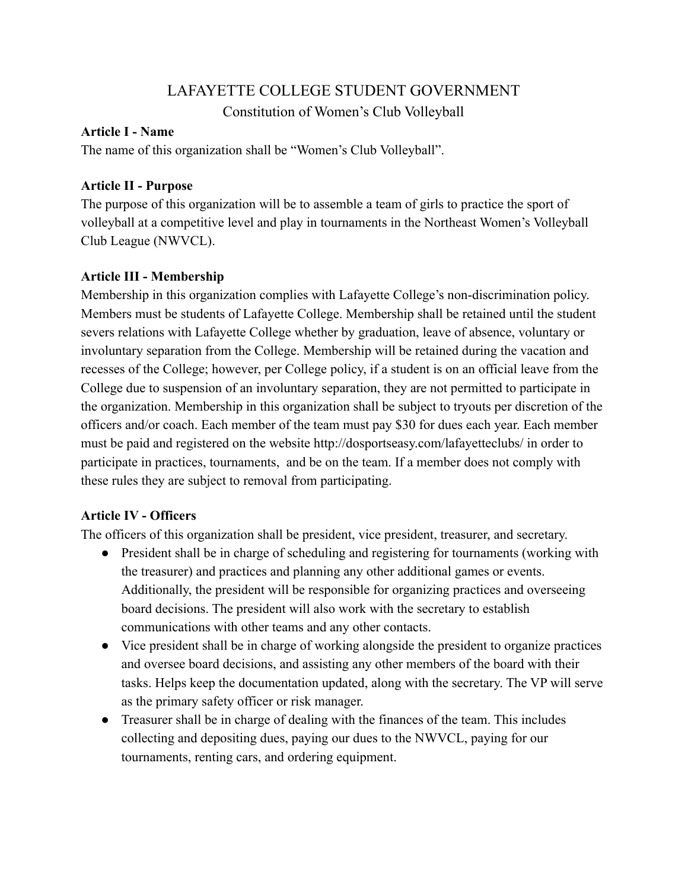# LAFAYETTE COLLEGE STUDENT GOVERNMENT

Constitution of Women's Club Volleyball

### **Article I - Name**

The name of this organization shall be "Women's Club Volleyball".

## **Article II - Purpose**

The purpose of this organization will be to assemble a team of girls to practice the sport of volleyball at a competitive level and play in tournaments in the Northeast Women's Volleyball Club League (NWVCL).

## **Article III - Membership**

Membership in this organization complies with Lafayette College's non-discrimination policy. Members must be students of Lafayette College. Membership shall be retained until the student severs relations with Lafayette College whether by graduation, leave of absence, voluntary or involuntary separation from the College. Membership will be retained during the vacation and recesses of the College; however, per College policy, if a student is on an official leave from the College due to suspension of an involuntary separation, they are not permitted to participate in the organization. Membership in this organization shall be subject to tryouts per discretion of the officers and/or coach. Each member of the team must pay \$30 for dues each year. Each member must be paid and registered on the website http://dosportseasy.com/lafayetteclubs/ in order to participate in practices, tournaments, and be on the team. If a member does not comply with these rules they are subject to removal from participating.

## **Article IV - Officers**

The officers of this organization shall be president, vice president, treasurer, and secretary.

- President shall be in charge of scheduling and registering for tournaments (working with the treasurer) and practices and planning any other additional games or events. Additionally, the president will be responsible for organizing practices and overseeing board decisions. The president will also work with the secretary to establish communications with other teams and any other contacts.
- Vice president shall be in charge of working alongside the president to organize practices and oversee board decisions, and assisting any other members of the board with their tasks. Helps keep the documentation updated, along with the secretary. The VP will serve as the primary safety officer or risk manager.
- Treasurer shall be in charge of dealing with the finances of the team. This includes collecting and depositing dues, paying our dues to the NWVCL, paying for our tournaments, renting cars, and ordering equipment.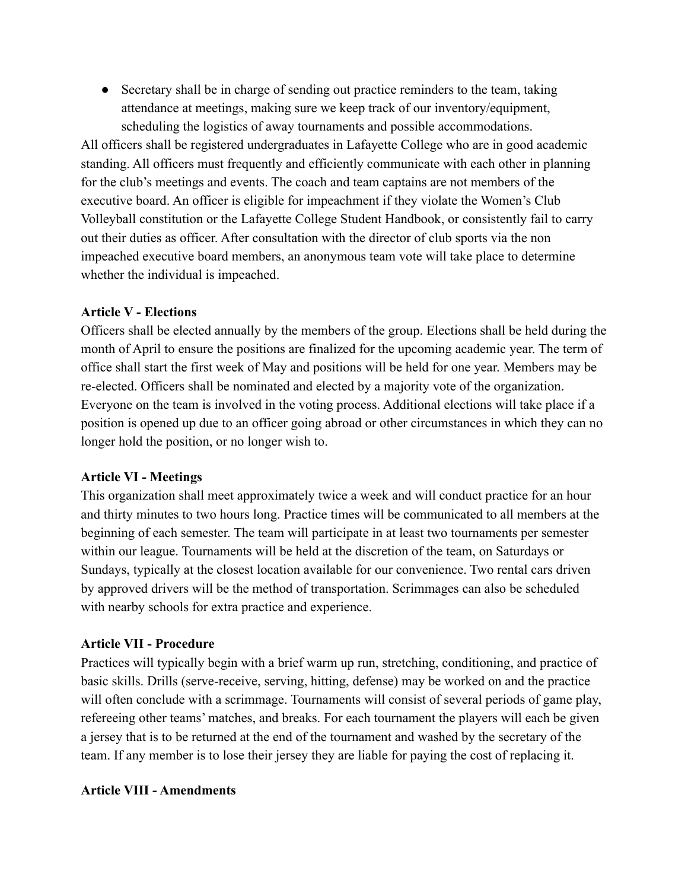• Secretary shall be in charge of sending out practice reminders to the team, taking attendance at meetings, making sure we keep track of our inventory/equipment, scheduling the logistics of away tournaments and possible accommodations.

All officers shall be registered undergraduates in Lafayette College who are in good academic standing. All officers must frequently and efficiently communicate with each other in planning for the club's meetings and events. The coach and team captains are not members of the executive board. An officer is eligible for impeachment if they violate the Women's Club Volleyball constitution or the Lafayette College Student Handbook, or consistently fail to carry out their duties as officer. After consultation with the director of club sports via the non impeached executive board members, an anonymous team vote will take place to determine whether the individual is impeached.

### **Article V - Elections**

Officers shall be elected annually by the members of the group. Elections shall be held during the month of April to ensure the positions are finalized for the upcoming academic year. The term of office shall start the first week of May and positions will be held for one year. Members may be re-elected. Officers shall be nominated and elected by a majority vote of the organization. Everyone on the team is involved in the voting process. Additional elections will take place if a position is opened up due to an officer going abroad or other circumstances in which they can no longer hold the position, or no longer wish to.

## **Article VI - Meetings**

This organization shall meet approximately twice a week and will conduct practice for an hour and thirty minutes to two hours long. Practice times will be communicated to all members at the beginning of each semester. The team will participate in at least two tournaments per semester within our league. Tournaments will be held at the discretion of the team, on Saturdays or Sundays, typically at the closest location available for our convenience. Two rental cars driven by approved drivers will be the method of transportation. Scrimmages can also be scheduled with nearby schools for extra practice and experience.

### **Article VII - Procedure**

Practices will typically begin with a brief warm up run, stretching, conditioning, and practice of basic skills. Drills (serve-receive, serving, hitting, defense) may be worked on and the practice will often conclude with a scrimmage. Tournaments will consist of several periods of game play, refereeing other teams' matches, and breaks. For each tournament the players will each be given a jersey that is to be returned at the end of the tournament and washed by the secretary of the team. If any member is to lose their jersey they are liable for paying the cost of replacing it.

### **Article VIII - Amendments**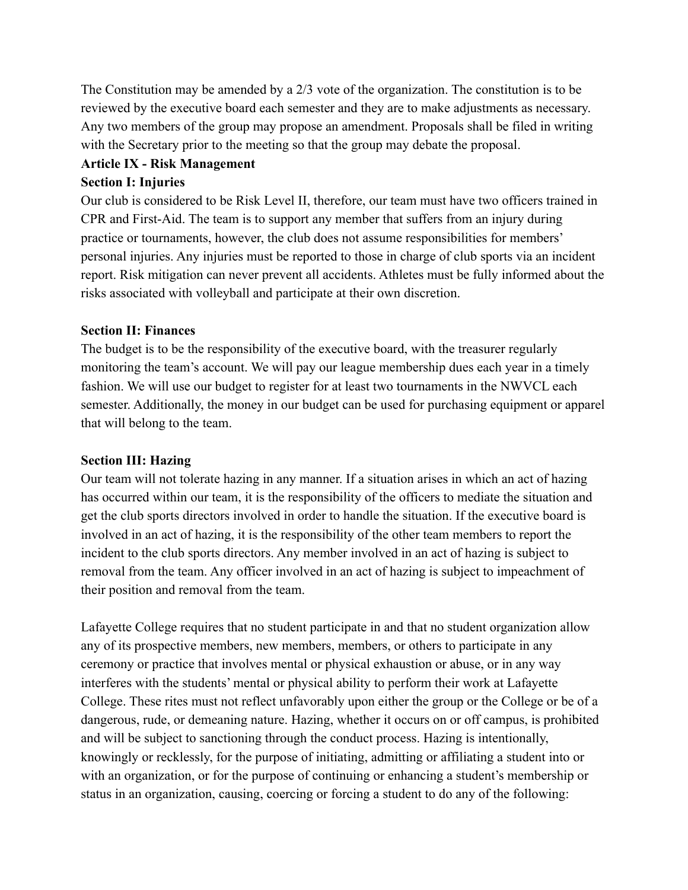The Constitution may be amended by a 2/3 vote of the organization. The constitution is to be reviewed by the executive board each semester and they are to make adjustments as necessary. Any two members of the group may propose an amendment. Proposals shall be filed in writing with the Secretary prior to the meeting so that the group may debate the proposal.

#### **Article IX - Risk Management**

#### **Section I: Injuries**

Our club is considered to be Risk Level II, therefore, our team must have two officers trained in CPR and First-Aid. The team is to support any member that suffers from an injury during practice or tournaments, however, the club does not assume responsibilities for members' personal injuries. Any injuries must be reported to those in charge of club sports via an incident report. Risk mitigation can never prevent all accidents. Athletes must be fully informed about the risks associated with volleyball and participate at their own discretion.

#### **Section II: Finances**

The budget is to be the responsibility of the executive board, with the treasurer regularly monitoring the team's account. We will pay our league membership dues each year in a timely fashion. We will use our budget to register for at least two tournaments in the NWVCL each semester. Additionally, the money in our budget can be used for purchasing equipment or apparel that will belong to the team.

#### **Section III: Hazing**

Our team will not tolerate hazing in any manner. If a situation arises in which an act of hazing has occurred within our team, it is the responsibility of the officers to mediate the situation and get the club sports directors involved in order to handle the situation. If the executive board is involved in an act of hazing, it is the responsibility of the other team members to report the incident to the club sports directors. Any member involved in an act of hazing is subject to removal from the team. Any officer involved in an act of hazing is subject to impeachment of their position and removal from the team.

Lafayette College requires that no student participate in and that no student organization allow any of its prospective members, new members, members, or others to participate in any ceremony or practice that involves mental or physical exhaustion or abuse, or in any way interferes with the students' mental or physical ability to perform their work at Lafayette College. These rites must not reflect unfavorably upon either the group or the College or be of a dangerous, rude, or demeaning nature. Hazing, whether it occurs on or off campus, is prohibited and will be subject to sanctioning through the conduct process. Hazing is intentionally, knowingly or recklessly, for the purpose of initiating, admitting or affiliating a student into or with an organization, or for the purpose of continuing or enhancing a student's membership or status in an organization, causing, coercing or forcing a student to do any of the following: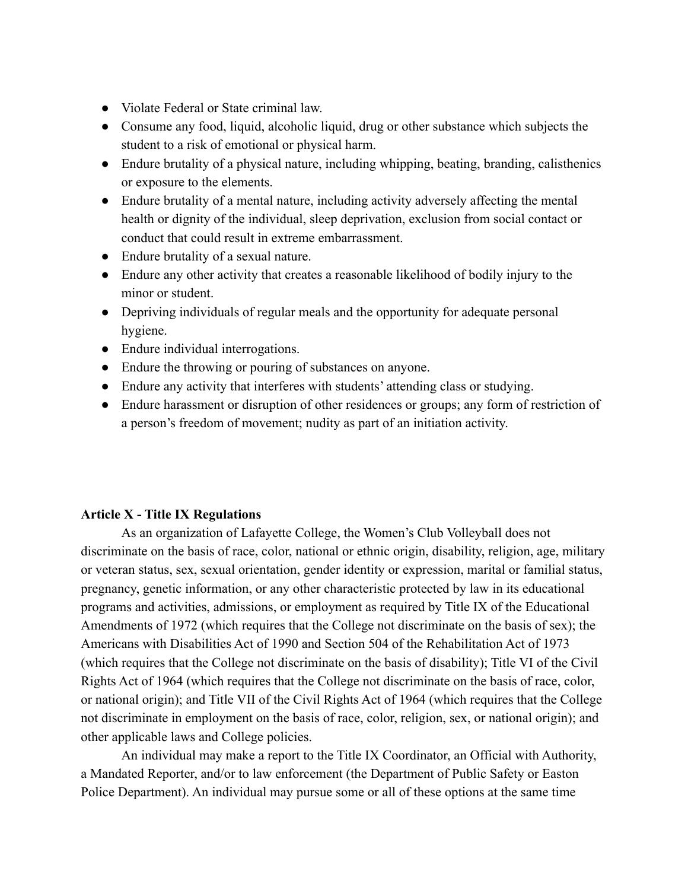- Violate Federal or State criminal law.
- Consume any food, liquid, alcoholic liquid, drug or other substance which subjects the student to a risk of emotional or physical harm.
- Endure brutality of a physical nature, including whipping, beating, branding, calisthenics or exposure to the elements.
- Endure brutality of a mental nature, including activity adversely affecting the mental health or dignity of the individual, sleep deprivation, exclusion from social contact or conduct that could result in extreme embarrassment.
- Endure brutality of a sexual nature.
- Endure any other activity that creates a reasonable likelihood of bodily injury to the minor or student.
- Depriving individuals of regular meals and the opportunity for adequate personal hygiene.
- Endure individual interrogations.
- Endure the throwing or pouring of substances on anyone.
- Endure any activity that interferes with students' attending class or studying.
- Endure harassment or disruption of other residences or groups; any form of restriction of a person's freedom of movement; nudity as part of an initiation activity.

### **Article X - Title IX Regulations**

As an organization of Lafayette College, the Women's Club Volleyball does not discriminate on the basis of race, color, national or ethnic origin, disability, religion, age, military or veteran status, sex, sexual orientation, gender identity or expression, marital or familial status, pregnancy, genetic information, or any other characteristic protected by law in its educational programs and activities, admissions, or employment as required by Title IX of the Educational Amendments of 1972 (which requires that the College not discriminate on the basis of sex); the Americans with Disabilities Act of 1990 and Section 504 of the Rehabilitation Act of 1973 (which requires that the College not discriminate on the basis of disability); Title VI of the Civil Rights Act of 1964 (which requires that the College not discriminate on the basis of race, color, or national origin); and Title VII of the Civil Rights Act of 1964 (which requires that the College not discriminate in employment on the basis of race, color, religion, sex, or national origin); and other applicable laws and College policies.

An individual may make a report to the Title IX Coordinator, an Official with Authority, a Mandated Reporter, and/or to law enforcement (the Department of Public Safety or Easton Police Department). An individual may pursue some or all of these options at the same time